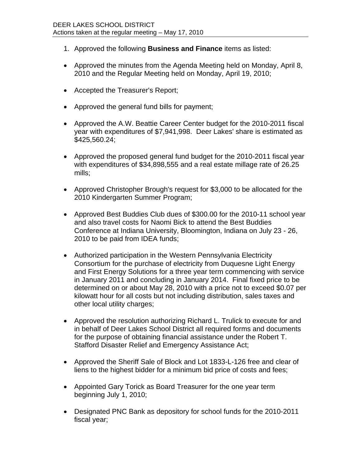- 1. Approved the following **Business and Finance** items as listed:
- Approved the minutes from the Agenda Meeting held on Monday, April 8, 2010 and the Regular Meeting held on Monday, April 19, 2010;
- Accepted the Treasurer's Report;
- Approved the general fund bills for payment;
- Approved the A.W. Beattie Career Center budget for the 2010-2011 fiscal year with expenditures of \$7,941,998. Deer Lakes' share is estimated as \$425,560.24;
- Approved the proposed general fund budget for the 2010-2011 fiscal year with expenditures of \$34,898,555 and a real estate millage rate of 26.25 mills;
- Approved Christopher Brough's request for \$3,000 to be allocated for the 2010 Kindergarten Summer Program;
- Approved Best Buddies Club dues of \$300.00 for the 2010-11 school year and also travel costs for Naomi Bick to attend the Best Buddies Conference at Indiana University, Bloomington, Indiana on July 23 - 26, 2010 to be paid from IDEA funds;
- Authorized participation in the Western Pennsylvania Electricity Consortium for the purchase of electricity from Duquesne Light Energy and First Energy Solutions for a three year term commencing with service in January 2011 and concluding in January 2014. Final fixed price to be determined on or about May 28, 2010 with a price not to exceed \$0.07 per kilowatt hour for all costs but not including distribution, sales taxes and other local utility charges;
- Approved the resolution authorizing Richard L. Trulick to execute for and in behalf of Deer Lakes School District all required forms and documents for the purpose of obtaining financial assistance under the Robert T. Stafford Disaster Relief and Emergency Assistance Act;
- Approved the Sheriff Sale of Block and Lot 1833-L-126 free and clear of liens to the highest bidder for a minimum bid price of costs and fees;
- Appointed Gary Torick as Board Treasurer for the one year term beginning July 1, 2010;
- Designated PNC Bank as depository for school funds for the 2010-2011 fiscal year;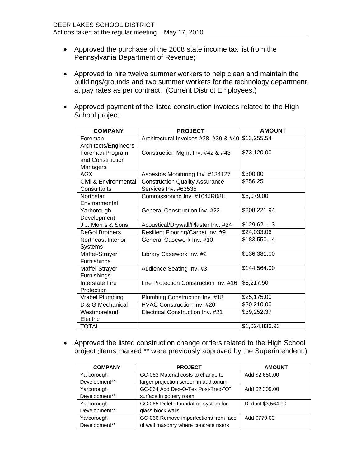- Approved the purchase of the 2008 state income tax list from the Pennsylvania Department of Revenue;
- Approved to hire twelve summer workers to help clean and maintain the buildings/grounds and two summer workers for the technology department at pay rates as per contract. (Current District Employees.)
- Approved payment of the listed construction invoices related to the High School project:

| <b>COMPANY</b>        | <b>PROJECT</b>                        | <b>AMOUNT</b>  |
|-----------------------|---------------------------------------|----------------|
| Foreman               | Architectural Invoices #38, #39 & #40 | \$13,255.54    |
| Architects/Engineers  |                                       |                |
| Foreman Program       | Construction Mgmt Inv. #42 & #43      | \$73,120.00    |
| and Construction      |                                       |                |
| Managers              |                                       |                |
| AGX                   | Asbestos Monitoring Inv. #134127      | \$300.00       |
| Civil & Environmental | <b>Construction Quality Assurance</b> | \$856.25       |
| Consultants           | Services Inv. #63535                  |                |
| Northstar             | Commissioning Inv. #104JR08H          | \$8,079.00     |
| Environmental         |                                       |                |
| Yarborough            | General Construction Inv. #22         | \$208,221.94   |
| Development           |                                       |                |
| J.J. Morris & Sons    | Acoustical/Drywall/Plaster Inv. #24   | \$129,621.13   |
| <b>DeGol Brothers</b> | Resilient Flooring/Carpet Inv. #9     | \$24,033.06    |
| Northeast Interior    | General Casework Inv. #10             | \$183,550.14   |
| <b>Systems</b>        |                                       |                |
| Maffei-Strayer        | Library Casework Inv. #2              | \$136,381.00   |
| Furnishings           |                                       |                |
| Maffei-Strayer        | Audience Seating Inv. #3              | \$144,564.00   |
| Furnishings           |                                       |                |
| Interstate Fire       | Fire Protection Construction Inv. #16 | \$8,217.50     |
| Protection            |                                       |                |
| Vrabel Plumbing       | Plumbing Construction Inv. #18        | \$25,175.00    |
| D & G Mechanical      | HVAC Construction Inv. #20            | \$30,210.00    |
| Westmoreland          | Electrical Construction Inv. #21      | \$39,252.37    |
| Electric              |                                       |                |
| <b>TOTAL</b>          |                                       | \$1,024,836.93 |

• Approved the listed construction change orders related to the High School project (items marked \*\* were previously approved by the Superintendent;)

| <b>COMPANY</b> | <b>PROJECT</b>                         | <b>AMOUNT</b>     |
|----------------|----------------------------------------|-------------------|
| Yarborough     | GC-063 Material costs to change to     | Add \$2,650.00    |
| Development**  | larger projection screen in auditorium |                   |
| Yarborough     | GC-064 Add Dex-O-Tex Posi-Tred-"O"     | Add \$2,309.00    |
| Development**  | surface in pottery room                |                   |
| Yarborough     | GC-065 Delete foundation system for    | Deduct \$3,564.00 |
| Development**  | glass block walls                      |                   |
| Yarborough     | GC-066 Remove imperfections from face  | Add \$779.00      |
| Development**  | of wall masonry where concrete risers  |                   |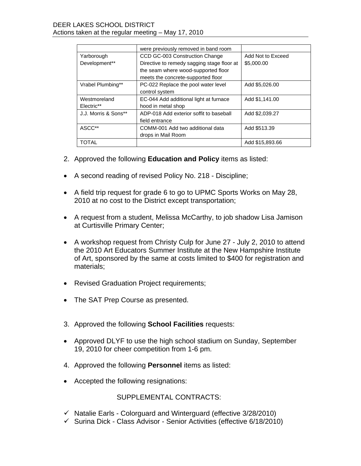|                      | were previously removed in band room       |                   |
|----------------------|--------------------------------------------|-------------------|
| Yarborough           | CCD GC-003 Construction Change             | Add Not to Exceed |
| Development**        | Directive to remedy sagging stage floor at | \$5,000.00        |
|                      | the seam where wood-supported floor        |                   |
|                      | meets the concrete-supported floor         |                   |
| Vrabel Plumbing**    | PC-022 Replace the pool water level        | Add \$5,026.00    |
|                      | control system                             |                   |
| Westmoreland         | EC-044 Add additional light at furnace     | Add \$1,141.00    |
| Electric**           | hood in metal shop                         |                   |
| J.J. Morris & Sons** | ADP-018 Add exterior soffit to baseball    | Add \$2,039.27    |
|                      | field entrance                             |                   |
| ASCC**               | COMM-001 Add two additional data           | Add \$513.39      |
|                      | drops in Mail Room                         |                   |
| TOTAL                |                                            | Add \$15,893.66   |

- 2. Approved the following **Education and Policy** items as listed:
- A second reading of revised Policy No. 218 Discipline;
- A field trip request for grade 6 to go to UPMC Sports Works on May 28, 2010 at no cost to the District except transportation;
- A request from a student, Melissa McCarthy, to job shadow Lisa Jamison at Curtisville Primary Center;
- A workshop request from Christy Culp for June 27 July 2, 2010 to attend the 2010 Art Educators Summer Institute at the New Hampshire Institute of Art, sponsored by the same at costs limited to \$400 for registration and materials;
- Revised Graduation Project requirements;
- The SAT Prep Course as presented.
- 3. Approved the following **School Facilities** requests:
- Approved DLYF to use the high school stadium on Sunday, September 19, 2010 for cheer competition from 1-6 pm.
- 4. Approved the following **Personnel** items as listed:
- Accepted the following resignations:

## SUPPLEMENTAL CONTRACTS:

- $\checkmark$  Natalie Earls Colorguard and Winterguard (effective 3/28/2010)
- $\checkmark$  Surina Dick Class Advisor Senior Activities (effective 6/18/2010)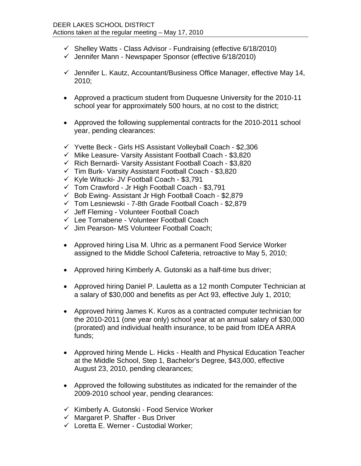- $\checkmark$  Shelley Watts Class Advisor Fundraising (effective 6/18/2010)
- $\checkmark$  Jennifer Mann Newspaper Sponsor (effective 6/18/2010)
- $\checkmark$  Jennifer L. Kautz, Accountant/Business Office Manager, effective May 14, 2010;
- Approved a practicum student from Duquesne University for the 2010-11 school year for approximately 500 hours, at no cost to the district;
- Approved the following supplemental contracts for the 2010-2011 school year, pending clearances:
- $\checkmark$  Yvette Beck Girls HS Assistant Volleyball Coach \$2,306
- $\checkmark$  Mike Leasure- Varsity Assistant Football Coach \$3,820
- $\checkmark$  Rich Bernardi- Varsity Assistant Football Coach \$3,820
- $\checkmark$  Tim Burk- Varsity Assistant Football Coach \$3,820
- $\checkmark$  Kyle Witucki- JV Football Coach \$3,791
- $\checkmark$  Tom Crawford Jr High Football Coach \$3,791
- $\checkmark$  Bob Ewing- Assistant Jr High Football Coach \$2,879
- $\checkmark$  Tom Lesniewski 7-8th Grade Football Coach \$2,879
- $\checkmark$  Jeff Fleming Volunteer Football Coach
- Lee Tornabene Volunteer Football Coach
- $\checkmark$  Jim Pearson- MS Volunteer Football Coach:
- Approved hiring Lisa M. Uhric as a permanent Food Service Worker assigned to the Middle School Cafeteria, retroactive to May 5, 2010;
- Approved hiring Kimberly A. Gutonski as a half-time bus driver;
- Approved hiring Daniel P. Lauletta as a 12 month Computer Technician at a salary of \$30,000 and benefits as per Act 93, effective July 1, 2010;
- Approved hiring James K. Kuros as a contracted computer technician for the 2010-2011 (one year only) school year at an annual salary of \$30,000 (prorated) and individual health insurance, to be paid from IDEA ARRA funds;
- Approved hiring Mende L. Hicks Health and Physical Education Teacher at the Middle School, Step 1, Bachelor's Degree, \$43,000, effective August 23, 2010, pending clearances;
- Approved the following substitutes as indicated for the remainder of the 2009-2010 school year, pending clearances:
- $\checkmark$  Kimberly A. Gutonski Food Service Worker
- $\checkmark$  Margaret P. Shaffer Bus Driver
- $\checkmark$  Loretta E. Werner Custodial Worker;